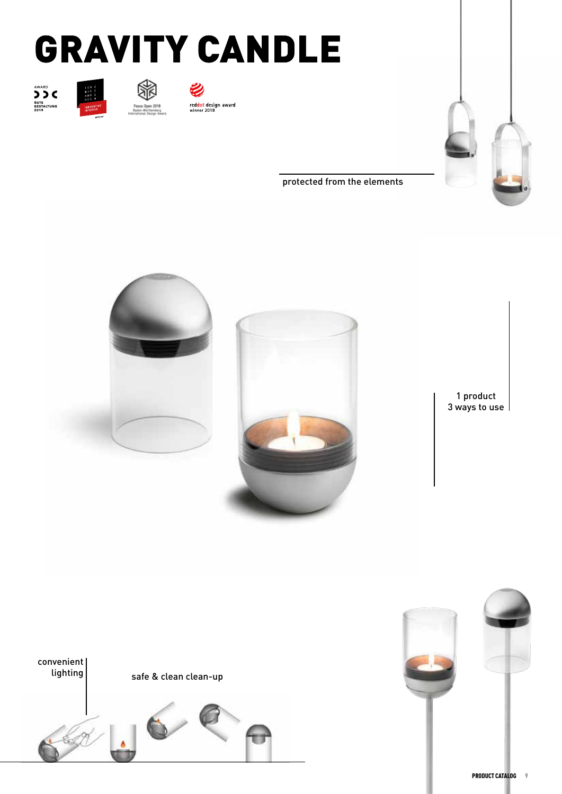## GRAVITY CANDLE













protected from the elements